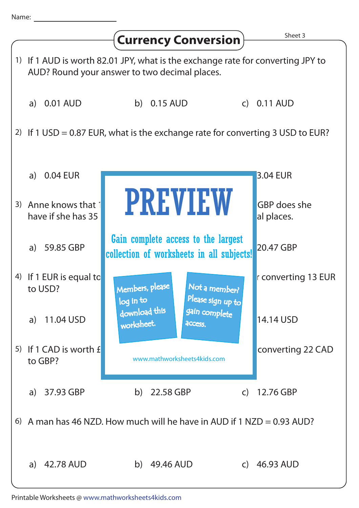